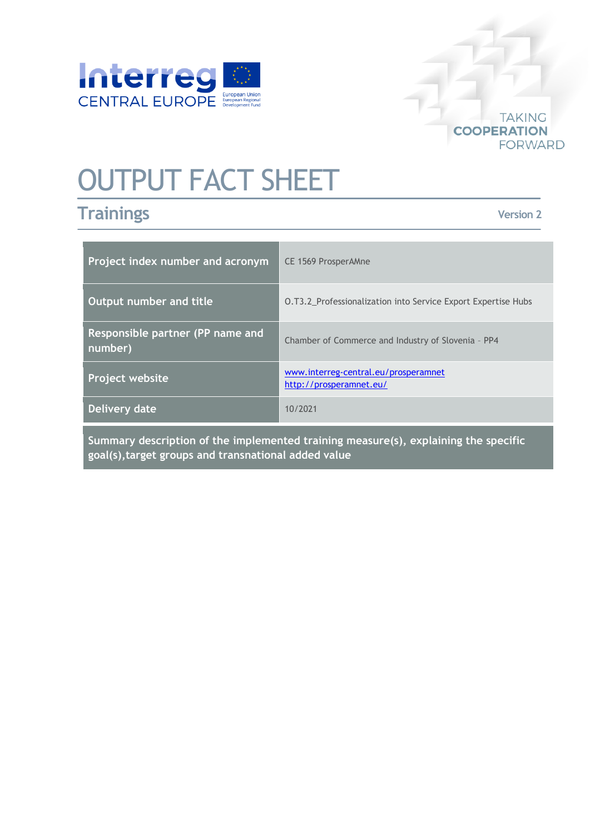

## **TAKING COOPERATION FORWARD**

# OUTPUT FACT SHEET

## **Trainings**

**Version 2**

| Project index number and acronym                                                   | <b>CE 1569 ProsperAMne</b>                                           |
|------------------------------------------------------------------------------------|----------------------------------------------------------------------|
| Output number and title                                                            | <b>O.T3.2 Professionalization into Service Export Expertise Hubs</b> |
| Responsible partner (PP name and<br>number)                                        | Chamber of Commerce and Industry of Slovenia - PP4                   |
| <b>Project website</b>                                                             | www.interreg-central.eu/prosperamnet<br>http://prosperamnet.eu/      |
| Delivery date                                                                      | 10/2021                                                              |
| Summary description of the implemented training measure(s) explaining the specific |                                                                      |

**Summary description of the implemented training measure(s), explaining the specific goal(s),target groups and transnational added value**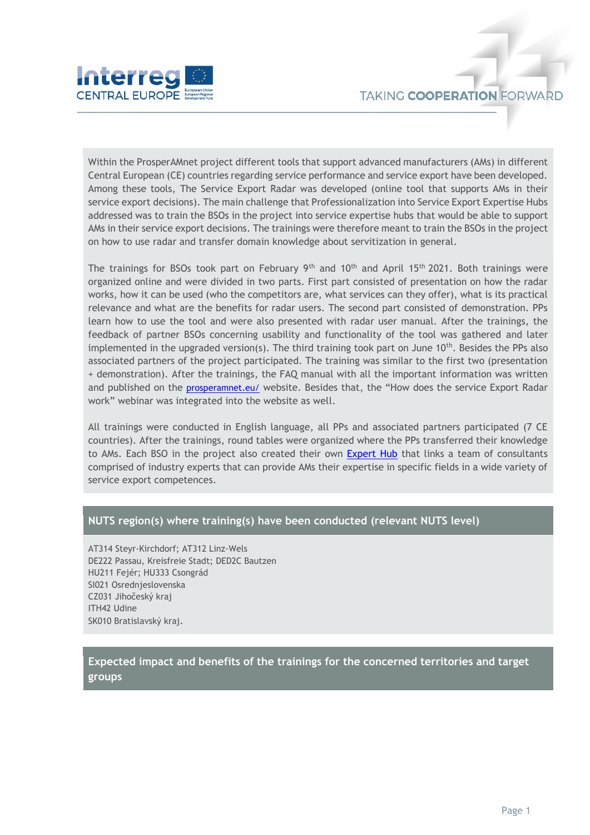

Within the ProsperAMnet project different tools that support advanced manufacturers (AMs) in different Central European (CE) countries regarding service performance and service export have been developed. Among these tools, The Service Export Radar was developed (online tool that supports AMs in their service export decisions). The main challenge that Professionalization into Service Export Expertise Hubs addressed was to train the BSOs in the project into service expertise hubs that would be able to support AMs in their service export decisions. The trainings were therefore meant to train the BSOs in the project on how to use radar and transfer domain knowledge about servitization in general.

The trainings for BSOs took part on February 9<sup>th</sup> and 10<sup>th</sup> and April 15<sup>th</sup> 2021. Both trainings were organized online and were divided in two parts. First part consisted of presentation on how the radar works, how it can be used (who the competitors are, what services can they offer), what is its practical relevance and what are the benefits for radar users. The second part consisted of demonstration. PPs learn how to use the tool and were also presented with radar user manual. After the trainings, the feedback of partner BSOs concerning usability and functionality of the tool was gathered and later implemented in the upgraded version(s). The third training took part on June  $10<sup>th</sup>$ . Besides the PPs also associated partners of the project participated. The training was similar to the first two (presentation + demonstration). After the trainings, the FAQ manual with all the important information was written and published on the [prosperamnet.eu/](http://prosperamnet.eu/) website. Besides that, the "How does the service Export Radar work" webinar was integrated into the website as well.

All trainings were conducted in English language, all PPs and associated partners participated (7 CE countries). After the trainings, round tables were organized where the PPs transferred their knowledge to AMs. Each BSO in the project also created their own [Expert Hub](https://www.prosperamnet.eu/experthub/) that links a team of consultants comprised of industry experts that can provide AMs their expertise in specific fields in a wide variety of service export competences.

#### **NUTS region(s) where training(s) have been conducted (relevant NUTS level)**

AT314 Steyr-Kirchdorf; AT312 Linz-Wels DE222 Passau, Kreisfreie Stadt; DED2C Bautzen HU211 Fejér; HU333 Csongrád SI021 Osrednjeslovenska CZ031 Jihočeský kraj ITH42 Udine SK010 Bratislavský kraj*.*

**Expected impact and benefits of the trainings for the concerned territories and target groups**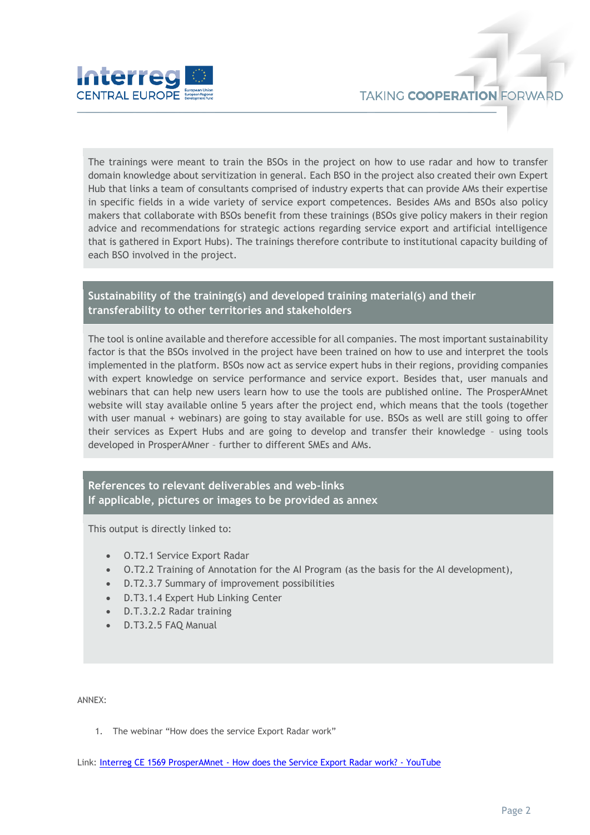



The trainings were meant to train the BSOs in the project on how to use radar and how to transfer domain knowledge about servitization in general. Each BSO in the project also created their own Expert Hub that links a team of consultants comprised of industry experts that can provide AMs their expertise in specific fields in a wide variety of service export competences. Besides AMs and BSOs also policy makers that collaborate with BSOs benefit from these trainings (BSOs give policy makers in their region advice and recommendations for strategic actions regarding service export and artificial intelligence that is gathered in Export Hubs). The trainings therefore contribute to institutional capacity building of each BSO involved in the project.

### **Sustainability of the training(s) and developed training material(s) and their transferability to other territories and stakeholders**

The tool is online available and therefore accessible for all companies. The most important sustainability factor is that the BSOs involved in the project have been trained on how to use and interpret the tools implemented in the platform. BSOs now act as service expert hubs in their regions, providing companies with expert knowledge on service performance and service export. Besides that, user manuals and webinars that can help new users learn how to use the tools are published online. The ProsperAMnet website will stay available online 5 years after the project end, which means that the tools (together with user manual + webinars) are going to stay available for use. BSOs as well are still going to offer their services as Expert Hubs and are going to develop and transfer their knowledge – using tools developed in ProsperAMner – further to different SMEs and AMs.

**References to relevant deliverables and web-links If applicable, pictures or images to be provided as annex**

This output is directly linked to:

- O.T2.1 Service Export Radar
- O.T2.2 Training of Annotation for the AI Program (as the basis for the AI development),
- D.T2.3.7 Summary of improvement possibilities
- D.T3.1.4 Expert Hub Linking Center
- D.T.3.2.2 Radar training
- D.T3.2.5 FAQ Manual

ANNEX:

1. The webinar "How does the service Export Radar work"

Link: Interreg CE 1569 ProsperAMnet - [How does the Service Export Radar work? -](https://www.youtube.com/watch?v=EeTxORJGY9Y) YouTube